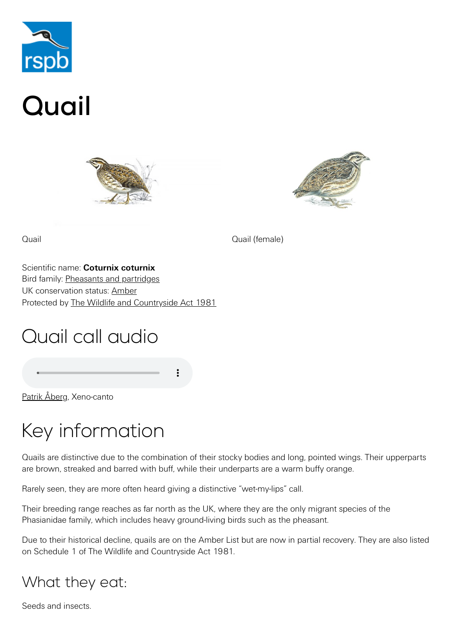

# Quail





Quail Quail (female)

Scientific name: **Coturnix coturnix** Bird family: [Pheasants and partridges](https://www.rspb.org.uk/birds-and-wildlife/wildlife-guides/bird-a-z/pheasants-partridges/) UK conservation status: [Amber](https://www.rspb.org.uk/birds-and-wildlife/wildlife-guides/uk-conservation-status-explained/) Protected by [The Wildlife and Countryside Act 1981](https://www.rspb.org.uk/birds-and-wildlife/advice/wildlife-and-the-law/wildlife-and-countryside-act/)

## Quail call audio

[Patrik Åberg,](http://www.xeno-canto.org/27535) Xeno-canto

# Key information

Quails are distinctive due to the combination of their stocky bodies and long, pointed wings. Their upperparts are brown, streaked and barred with buff, while their underparts are a warm buffy orange.

Rarely seen, they are more often heard giving a distinctive "wet-my-lips" call.

Their breeding range reaches as far north as the UK, where they are the only migrant species of the Phasianidae family, which includes heavy ground-living birds such as the pheasant.

Due to their historical decline, quails are on the Amber List but are now in partial recovery. They are also listed on Schedule 1 of The Wildlife and Countryside Act 1981.

## What they eat:

Seeds and insects.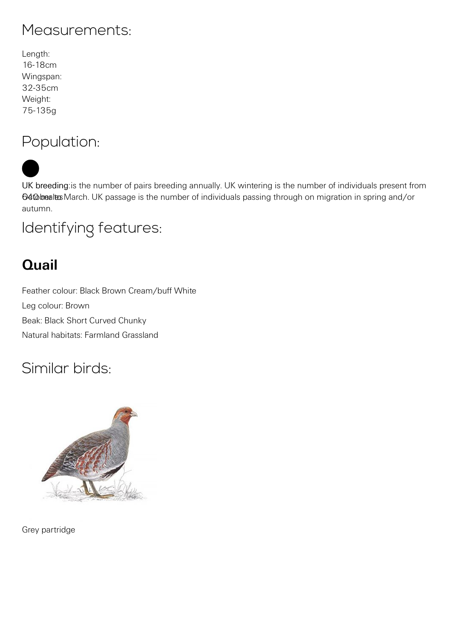#### Measurements:

Length: 16-18cm Wingspan: 32-35cm Weight: 75-135g

#### Population:

UK breeding: is the number of pairs breeding annually. UK wintering is the number of individuals present from 64 to bealtes March. UK passage is the number of individuals passing through on migration in spring and/or autumn.

#### Identifying features:

### **Quail**

Feather colour: Black Brown Cream/buff White Leg colour: Brown Beak: Black Short Curved Chunky Natural habitats: Farmland Grassland

#### Similar birds:



[Grey partridge](https://www.rspb.org.uk/birds-and-wildlife/wildlife-guides/bird-a-z/grey-partridge/)